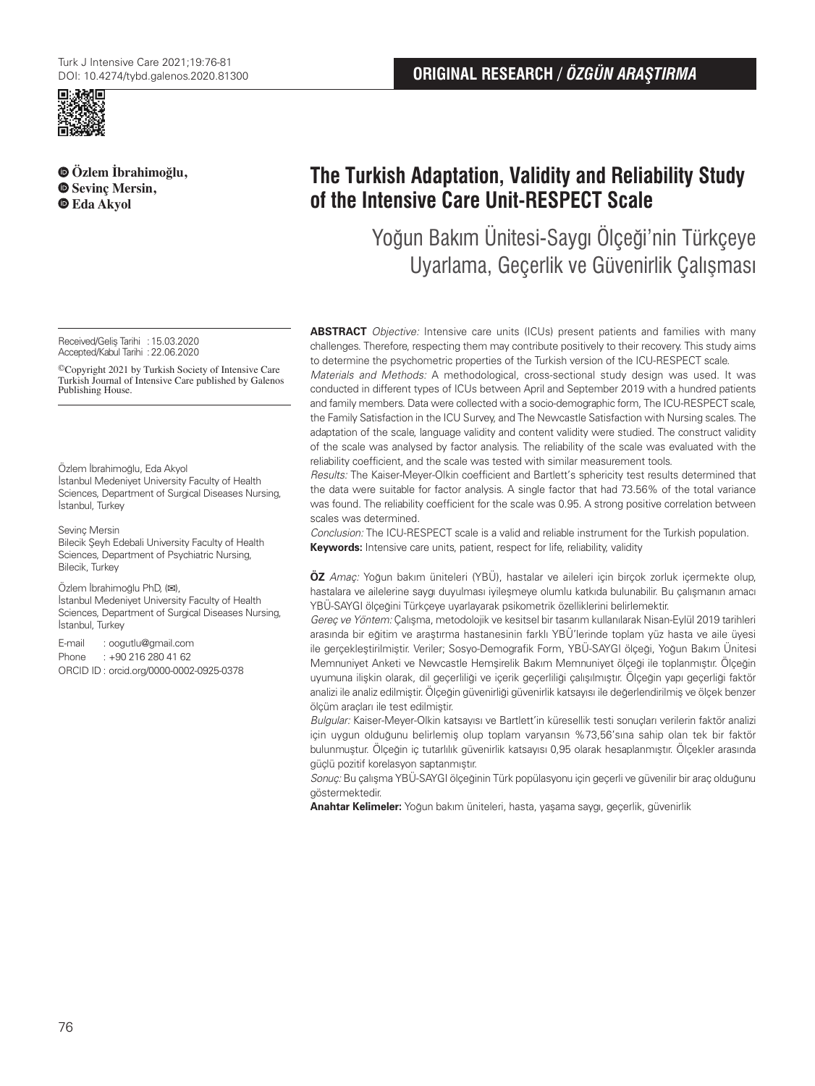

**Özlem İbrahimoğlu, Sevinç Mersin, Eda Akyol**

Received/Geliş Tarihi :15.03.2020 Accepted/Kabul Tarihi :22.06.2020

©Copyright 2021 by Turkish Society of Intensive Care Turkish Journal of Intensive Care published by Galenos Publishing House.

Özlem İbrahimoğlu, Eda Akyol İstanbul Medeniyet University Faculty of Health Sciences, Department of Surgical Diseases Nursing, İstanbul, Turkey

Sevinç Mersin Bilecik Şeyh Edebali University Faculty of Health Sciences, Department of Psychiatric Nursing, Bilecik, Turkey

Özlem İbrahimoğlu PhD, (**✉**), İstanbul Medeniyet University Faculty of Health Sciences, Department of Surgical Diseases Nursing, İstanbul, Turkey

E-mail : oogutlu@gmail.com Phone : +90 216 280 41 62 ORCID ID : orcid.org/0000-0002-0925-0378

# **The Turkish Adaptation, Validity and Reliability Study of the Intensive Care Unit-RESPECT Scale**

Yoğun Bakım Ünitesi-Saygı Ölçeği'nin Türkçeye Uyarlama, Geçerlik ve Güvenirlik Çalışması

**ABSTRACT** Objective: Intensive care units (ICUs) present patients and families with many challenges. Therefore, respecting them may contribute positively to their recovery. This study aims to determine the psychometric properties of the Turkish version of the ICU-RESPECT scale.

Materials and Methods: A methodological, cross-sectional study design was used. It was conducted in different types of ICUs between April and September 2019 with a hundred patients and family members. Data were collected with a socio-demographic form, The ICU-RESPECT scale, the Family Satisfaction in the ICU Survey, and The Newcastle Satisfaction with Nursing scales. The adaptation of the scale, language validity and content validity were studied. The construct validity of the scale was analysed by factor analysis. The reliability of the scale was evaluated with the reliability coefficient, and the scale was tested with similar measurement tools.

Results: The Kaiser-Meyer-Olkin coefficient and Bartlett's sphericity test results determined that the data were suitable for factor analysis. A single factor that had 73.56% of the total variance was found. The reliability coefficient for the scale was 0.95. A strong positive correlation between scales was determined.

Conclusion: The ICU-RESPECT scale is a valid and reliable instrument for the Turkish population. **Keywords:** Intensive care units, patient, respect for life, reliability, validity

**ÖZ** Amaç: Yoğun bakım üniteleri (YBÜ), hastalar ve aileleri için birçok zorluk içermekte olup, hastalara ve ailelerine saygı duyulması iyileşmeye olumlu katkıda bulunabilir. Bu çalışmanın amacı YBÜ-SAYGI ölçeğini Türkçeye uyarlayarak psikometrik özelliklerini belirlemektir.

Gereç ve Yöntem: Çalışma, metodolojik ve kesitsel bir tasarım kullanılarak Nisan-Eylül 2019 tarihleri arasında bir eğitim ve araştırma hastanesinin farklı YBÜ'lerinde toplam yüz hasta ve aile üyesi ile gerçekleştirilmiştir. Veriler; Sosyo-Demografik Form, YBÜ-SAYGI ölçeği, Yoğun Bakım Ünitesi Memnuniyet Anketi ve Newcastle Hemşirelik Bakım Memnuniyet ölçeği ile toplanmıştır. Ölçeğin uyumuna ilişkin olarak, dil geçerliliği ve içerik geçerliliği çalışılmıştır. Ölçeğin yapı geçerliği faktör analizi ile analiz edilmiştir. Ölçeğin güvenirliği güvenirlik katsayısı ile değerlendirilmiş ve ölçek benzer ölçüm araçları ile test edilmiştir.

Bulgular: Kaiser-Meyer-Olkin katsayısı ve Bartlett'in küresellik testi sonuçları verilerin faktör analizi için uygun olduğunu belirlemiş olup toplam varyansın %73,56'sına sahip olan tek bir faktör bulunmuştur. Ölçeğin iç tutarlılık güvenirlik katsayısı 0,95 olarak hesaplanmıştır. Ölçekler arasında güçlü pozitif korelasyon saptanmıştır.

Sonuç: Bu çalışma YBÜ-SAYGI ölçeğinin Türk popülasyonu için geçerli ve güvenilir bir araç olduğunu göstermektedir.

**Anahtar Kelimeler:** Yoğun bakım üniteleri, hasta, yaşama saygı, geçerlik, güvenirlik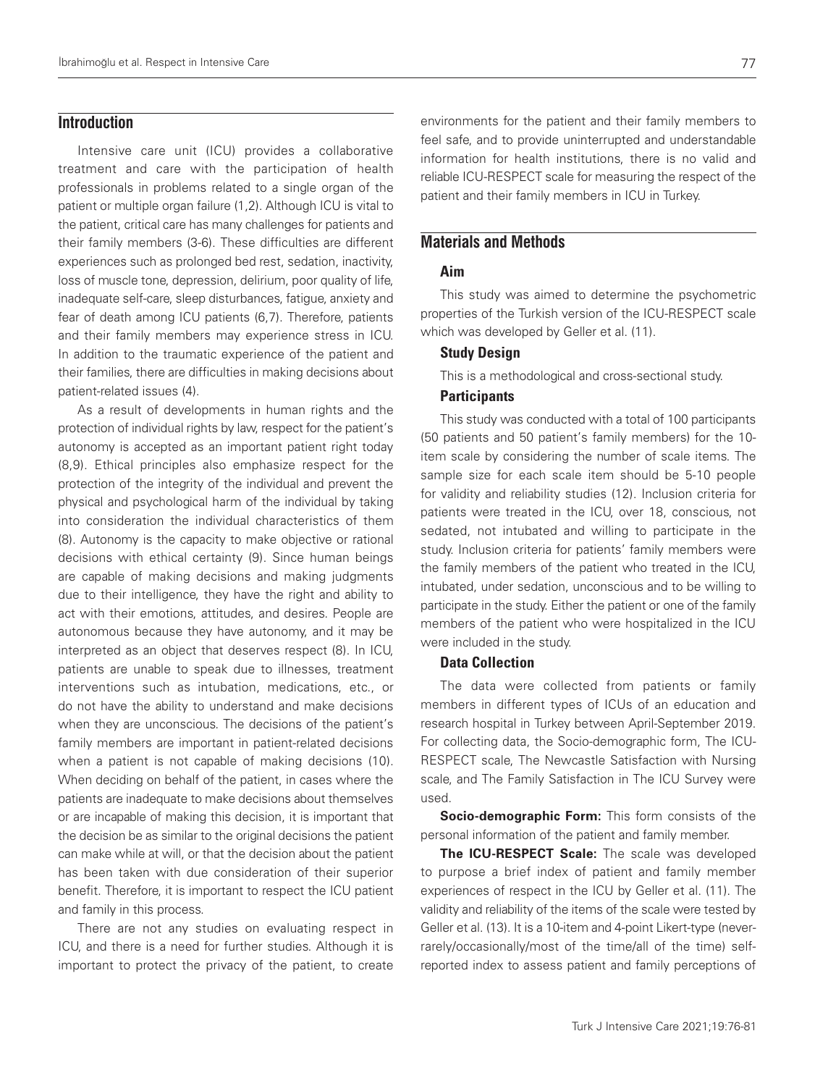## **Introduction**

Intensive care unit (ICU) provides a collaborative treatment and care with the participation of health professionals in problems related to a single organ of the patient or multiple organ failure (1,2). Although ICU is vital to the patient, critical care has many challenges for patients and their family members (3-6). These difficulties are different experiences such as prolonged bed rest, sedation, inactivity, loss of muscle tone, depression, delirium, poor quality of life, inadequate self-care, sleep disturbances, fatigue, anxiety and fear of death among ICU patients (6,7). Therefore, patients and their family members may experience stress in ICU. In addition to the traumatic experience of the patient and their families, there are difficulties in making decisions about patient-related issues (4).

As a result of developments in human rights and the protection of individual rights by law, respect for the patient's autonomy is accepted as an important patient right today (8,9). Ethical principles also emphasize respect for the protection of the integrity of the individual and prevent the physical and psychological harm of the individual by taking into consideration the individual characteristics of them (8). Autonomy is the capacity to make objective or rational decisions with ethical certainty (9). Since human beings are capable of making decisions and making judgments due to their intelligence, they have the right and ability to act with their emotions, attitudes, and desires. People are autonomous because they have autonomy, and it may be interpreted as an object that deserves respect (8). In ICU, patients are unable to speak due to illnesses, treatment interventions such as intubation, medications, etc., or do not have the ability to understand and make decisions when they are unconscious. The decisions of the patient's family members are important in patient-related decisions when a patient is not capable of making decisions (10). When deciding on behalf of the patient, in cases where the patients are inadequate to make decisions about themselves or are incapable of making this decision, it is important that the decision be as similar to the original decisions the patient can make while at will, or that the decision about the patient has been taken with due consideration of their superior benefit. Therefore, it is important to respect the ICU patient and family in this process.

There are not any studies on evaluating respect in ICU, and there is a need for further studies. Although it is important to protect the privacy of the patient, to create

environments for the patient and their family members to feel safe, and to provide uninterrupted and understandable information for health institutions, there is no valid and reliable ICU-RESPECT scale for measuring the respect of the patient and their family members in ICU in Turkey.

## **Materials and Methods**

### Aim

This study was aimed to determine the psychometric properties of the Turkish version of the ICU-RESPECT scale which was developed by Geller et al. (11).

#### Study Design

This is a methodological and cross-sectional study.

#### **Participants**

This study was conducted with a total of 100 participants (50 patients and 50 patient's family members) for the 10 item scale by considering the number of scale items. The sample size for each scale item should be 5-10 people for validity and reliability studies (12). Inclusion criteria for patients were treated in the ICU, over 18, conscious, not sedated, not intubated and willing to participate in the study. Inclusion criteria for patients' family members were the family members of the patient who treated in the ICU, intubated, under sedation, unconscious and to be willing to participate in the study. Either the patient or one of the family members of the patient who were hospitalized in the ICU were included in the study.

#### Data Collection

The data were collected from patients or family members in different types of ICUs of an education and research hospital in Turkey between April-September 2019. For collecting data, the Socio-demographic form, The ICU-RESPECT scale, The Newcastle Satisfaction with Nursing scale, and The Family Satisfaction in The ICU Survey were used.

**Socio-demographic Form:** This form consists of the personal information of the patient and family member.

**The ICU-RESPECT Scale:** The scale was developed to purpose a brief index of patient and family member experiences of respect in the ICU by Geller et al. (11). The validity and reliability of the items of the scale were tested by Geller et al. (13). It is a 10-item and 4-point Likert-type (neverrarely/occasionally/most of the time/all of the time) selfreported index to assess patient and family perceptions of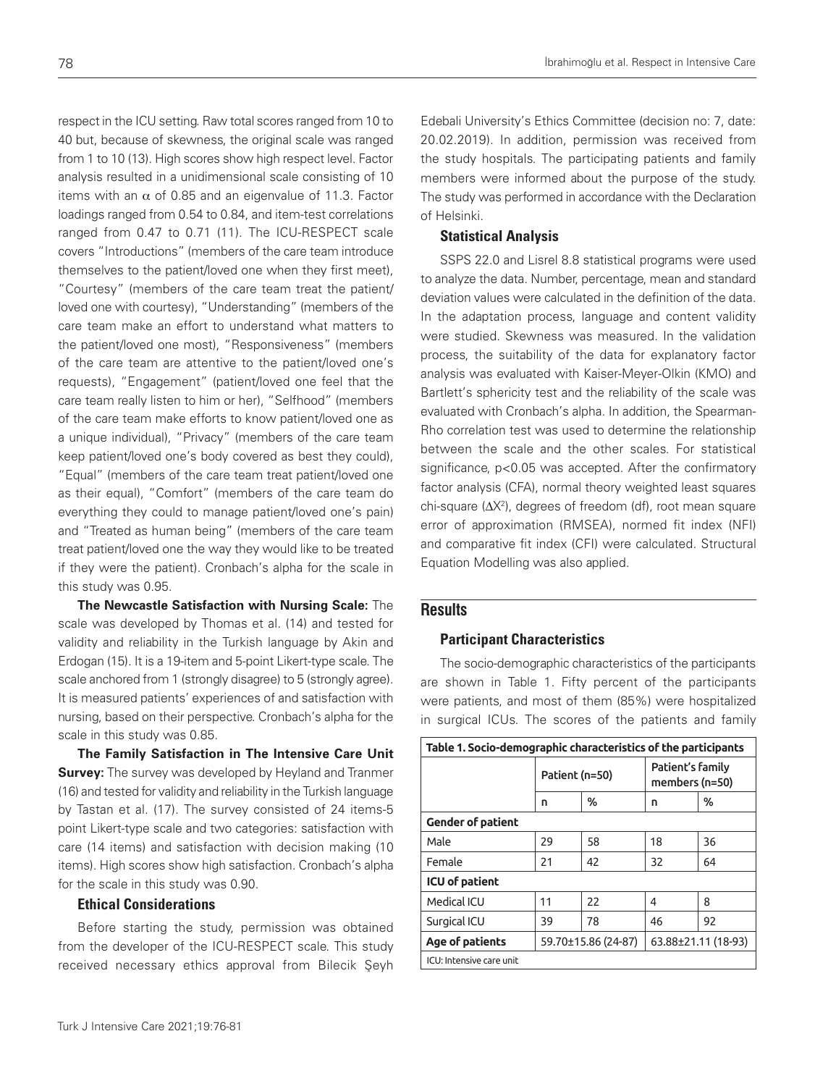respect in the ICU setting. Raw total scores ranged from 10 to 40 but, because of skewness, the original scale was ranged from 1 to 10 (13). High scores show high respect level. Factor analysis resulted in a unidimensional scale consisting of 10 items with an α of 0.85 and an eigenvalue of 11.3. Factor loadings ranged from 0.54 to 0.84, and item-test correlations ranged from 0.47 to 0.71 (11). The ICU-RESPECT scale covers "Introductions" (members of the care team introduce themselves to the patient/loved one when they first meet), "Courtesy" (members of the care team treat the patient/ loved one with courtesy), "Understanding" (members of the care team make an effort to understand what matters to the patient/loved one most), "Responsiveness" (members of the care team are attentive to the patient/loved one's requests), "Engagement" (patient/loved one feel that the care team really listen to him or her), "Selfhood" (members of the care team make efforts to know patient/loved one as a unique individual), "Privacy" (members of the care team keep patient/loved one's body covered as best they could), "Equal" (members of the care team treat patient/loved one as their equal), "Comfort" (members of the care team do everything they could to manage patient/loved one's pain) and "Treated as human being" (members of the care team treat patient/loved one the way they would like to be treated if they were the patient). Cronbach's alpha for the scale in this study was 0.95.

**The Newcastle Satisfaction with Nursing Scale:** The scale was developed by Thomas et al. (14) and tested for validity and reliability in the Turkish language by Akin and Erdogan (15). It is a 19-item and 5-point Likert-type scale. The scale anchored from 1 (strongly disagree) to 5 (strongly agree). It is measured patients' experiences of and satisfaction with nursing, based on their perspective. Cronbach's alpha for the scale in this study was 0.85.

**The Family Satisfaction in The Intensive Care Unit Survey:** The survey was developed by Heyland and Tranmer (16) and tested for validity and reliability in the Turkish language by Tastan et al. (17). The survey consisted of 24 items-5 point Likert-type scale and two categories: satisfaction with care (14 items) and satisfaction with decision making (10 items). High scores show high satisfaction. Cronbach's alpha for the scale in this study was 0.90.

## Ethical Considerations

Before starting the study, permission was obtained from the developer of the ICU-RESPECT scale. This study received necessary ethics approval from Bilecik Şeyh

Edebali University's Ethics Committee (decision no: 7, date: 20.02.2019). In addition, permission was received from the study hospitals. The participating patients and family members were informed about the purpose of the study. The study was performed in accordance with the Declaration of Helsinki.

#### Statistical Analysis

SSPS 22.0 and Lisrel 8.8 statistical programs were used to analyze the data. Number, percentage, mean and standard deviation values were calculated in the definition of the data. In the adaptation process, language and content validity were studied. Skewness was measured. In the validation process, the suitability of the data for explanatory factor analysis was evaluated with Kaiser-Meyer-Olkin (KMO) and Bartlett's sphericity test and the reliability of the scale was evaluated with Cronbach's alpha. In addition, the Spearman-Rho correlation test was used to determine the relationship between the scale and the other scales. For statistical significance, p<0.05 was accepted. After the confirmatory factor analysis (CFA), normal theory weighted least squares chi-square (ΔX2 ), degrees of freedom (df), root mean square error of approximation (RMSEA), normed fit index (NFI) and comparative fit index (CFI) were calculated. Structural Equation Modelling was also applied.

#### **Results**

#### Participant Characteristics

The socio-demographic characteristics of the participants are shown in Table 1. Fifty percent of the participants were patients, and most of them (85%) were hospitalized in surgical ICUs. The scores of the patients and family

| Table 1. Socio-demographic characteristics of the participants |                     |    |                                    |    |  |  |  |  |
|----------------------------------------------------------------|---------------------|----|------------------------------------|----|--|--|--|--|
|                                                                | Patient (n=50)      |    | Patient's family<br>members (n=50) |    |  |  |  |  |
|                                                                | n                   | %  | n                                  | %  |  |  |  |  |
| <b>Gender of patient</b>                                       |                     |    |                                    |    |  |  |  |  |
| Male                                                           | 29                  | 58 | 18                                 | 36 |  |  |  |  |
| Female                                                         | 21                  | 42 | 32                                 | 64 |  |  |  |  |
| <b>ICU</b> of patient                                          |                     |    |                                    |    |  |  |  |  |
| Medical ICU                                                    | 11                  | 22 | 4                                  | 8  |  |  |  |  |
| Surgical ICU                                                   | 39                  | 78 | 46                                 | 92 |  |  |  |  |
| Age of patients                                                | 59.70±15.86 (24-87) |    | 63.88±21.11 (18-93)                |    |  |  |  |  |
| ICU: Intensive care unit                                       |                     |    |                                    |    |  |  |  |  |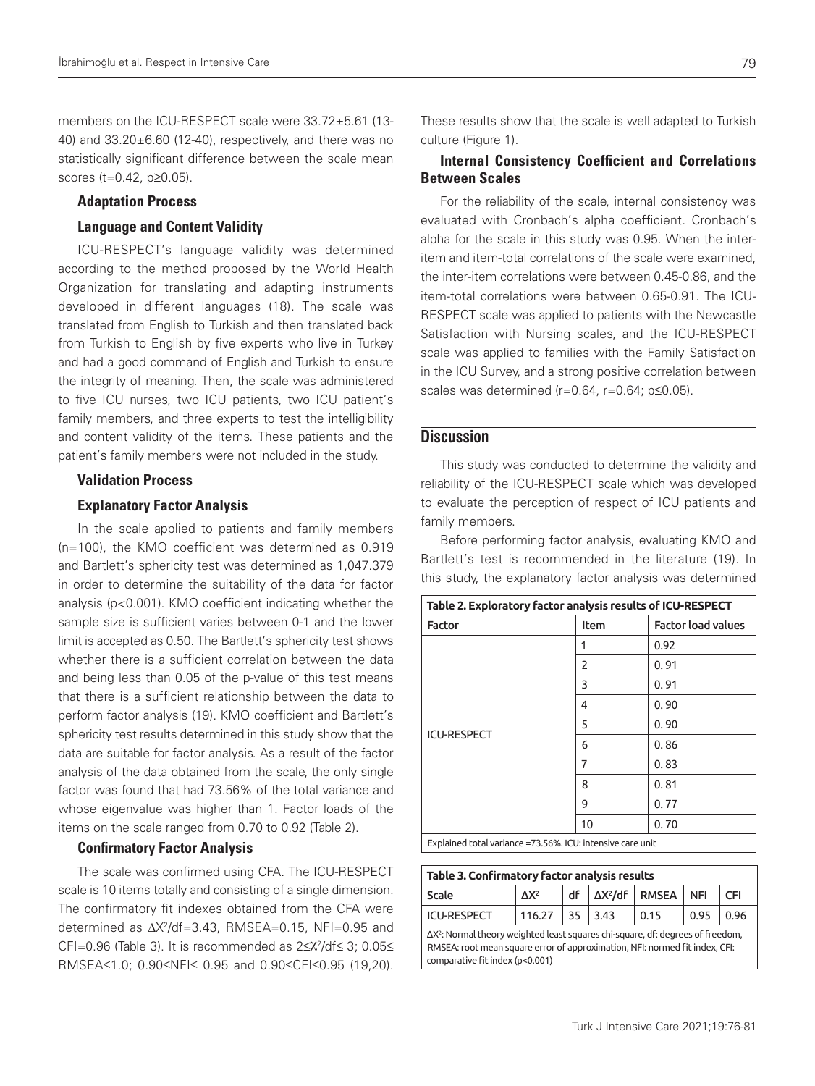members on the ICU-RESPECT scale were 33.72±5.61 (13- 40) and 33.20±6.60 (12-40), respectively, and there was no statistically significant difference between the scale mean scores (t=0.42, p≥0.05).

#### Adaptation Process

#### Language and Content Validity

ICU-RESPECT's language validity was determined according to the method proposed by the World Health Organization for translating and adapting instruments developed in different languages (18). The scale was translated from English to Turkish and then translated back from Turkish to English by five experts who live in Turkey and had a good command of English and Turkish to ensure the integrity of meaning. Then, the scale was administered to five ICU nurses, two ICU patients, two ICU patient's family members, and three experts to test the intelligibility and content validity of the items. These patients and the patient's family members were not included in the study.

#### Validation Process

#### Explanatory Factor Analysis

In the scale applied to patients and family members (n=100), the KMO coefficient was determined as 0.919 and Bartlett's sphericity test was determined as 1,047.379 in order to determine the suitability of the data for factor analysis (p<0.001). KMO coefficient indicating whether the sample size is sufficient varies between 0-1 and the lower limit is accepted as 0.50. The Bartlett's sphericity test shows whether there is a sufficient correlation between the data and being less than 0.05 of the p-value of this test means that there is a sufficient relationship between the data to perform factor analysis (19). KMO coefficient and Bartlett's sphericity test results determined in this study show that the data are suitable for factor analysis. As a result of the factor analysis of the data obtained from the scale, the only single factor was found that had 73.56% of the total variance and whose eigenvalue was higher than 1. Factor loads of the items on the scale ranged from 0.70 to 0.92 (Table 2).

#### Confirmatory Factor Analysis

The scale was confirmed using CFA. The ICU-RESPECT scale is 10 items totally and consisting of a single dimension. The confirmatory fit indexes obtained from the CFA were determined as  $\Delta X^2/df = 3.43$ , RMSEA=0.15, NFI=0.95 and CFI=0.96 (Table 3). It is recommended as 2≤χ<sup>2</sup> /df≤ 3; 0.05≤ RMSEA≤1.0; 0.90≤NFI≤ 0.95 and 0.90≤CFI≤0.95 (19,20).

These results show that the scale is well adapted to Turkish culture (Figure 1).

## Internal Consistency Coefficient and Correlations Between Scales

For the reliability of the scale, internal consistency was evaluated with Cronbach's alpha coefficient. Cronbach's alpha for the scale in this study was 0.95. When the interitem and item-total correlations of the scale were examined, the inter-item correlations were between 0.45-0.86, and the item-total correlations were between 0.65-0.91. The ICU-RESPECT scale was applied to patients with the Newcastle Satisfaction with Nursing scales, and the ICU-RESPECT scale was applied to families with the Family Satisfaction in the ICU Survey, and a strong positive correlation between scales was determined (r=0.64, r=0.64; p≤0.05).

#### **Discussion**

This study was conducted to determine the validity and reliability of the ICU-RESPECT scale which was developed to evaluate the perception of respect of ICU patients and family members.

Before performing factor analysis, evaluating KMO and Bartlett's test is recommended in the literature (19). In this study, the explanatory factor analysis was determined

| Table 2. Exploratory factor analysis results of ICU-RESPECT |      |                           |  |  |  |
|-------------------------------------------------------------|------|---------------------------|--|--|--|
| <b>Factor</b>                                               | Item | <b>Factor load values</b> |  |  |  |
|                                                             | 1    | 0.92                      |  |  |  |
|                                                             | 2    | 0.91                      |  |  |  |
|                                                             | 3    | 0.91                      |  |  |  |
|                                                             | 4    | 0.90                      |  |  |  |
| <b>ICU-RESPECT</b>                                          | 5    | 0.90                      |  |  |  |
|                                                             | 6    | 0.86                      |  |  |  |
|                                                             | 7    | 0.83                      |  |  |  |
|                                                             | 8    | 0.81                      |  |  |  |
|                                                             | 9    | 0.77                      |  |  |  |
|                                                             | 10   | 0.70                      |  |  |  |
| Explained total variance =73.56%. ICU: intensive care unit  |      |                           |  |  |  |

| Table 3. Confirmatory factor analysis results                                                                                                                                                             |              |    |                 |              |            |      |  |  |  |
|-----------------------------------------------------------------------------------------------------------------------------------------------------------------------------------------------------------|--------------|----|-----------------|--------------|------------|------|--|--|--|
| Scale                                                                                                                                                                                                     | $\Delta X^2$ | df | $\Delta X^2/df$ | <b>RMSEA</b> | <b>NFI</b> | CFI  |  |  |  |
| <b>ICU-RESPECT</b>                                                                                                                                                                                        | 116.27       | 35 | 3.43            | 0.15         | 0.95       | 0.96 |  |  |  |
| $\Delta X^2$ : Normal theory weighted least squares chi-square, df: degrees of freedom,<br>RMSEA: root mean square error of approximation, NFI: normed fit index, CFI:<br>comparative fit index (p<0.001) |              |    |                 |              |            |      |  |  |  |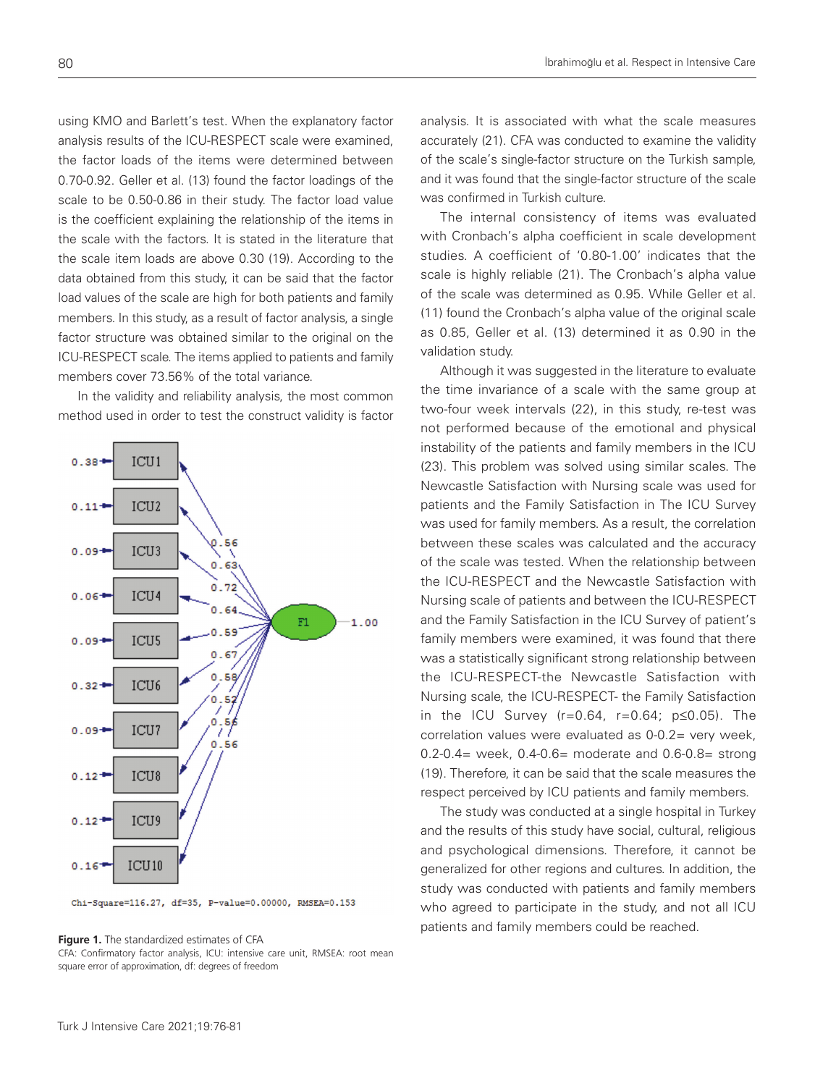using KMO and Barlett's test. When the explanatory factor analysis results of the ICU-RESPECT scale were examined, the factor loads of the items were determined between 0.70-0.92. Geller et al. (13) found the factor loadings of the scale to be 0.50-0.86 in their study. The factor load value is the coefficient explaining the relationship of the items in the scale with the factors. It is stated in the literature that the scale item loads are above 0.30 (19). According to the data obtained from this study, it can be said that the factor load values of the scale are high for both patients and family members. In this study, as a result of factor analysis, a single factor structure was obtained similar to the original on the ICU-RESPECT scale. The items applied to patients and family members cover 73.56% of the total variance.

In the validity and reliability analysis, the most common method used in order to test the construct validity is factor



Chi-Square=116.27, df=35, P-value=0.00000, RMSEA=0.153

**Figure 1.** The standardized estimates of CFA

CFA: Confirmatory factor analysis, ICU: intensive care unit, RMSEA: root mean square error of approximation, df: degrees of freedom

analysis. It is associated with what the scale measures accurately (21). CFA was conducted to examine the validity of the scale's single-factor structure on the Turkish sample, and it was found that the single-factor structure of the scale was confirmed in Turkish culture.

The internal consistency of items was evaluated with Cronbach's alpha coefficient in scale development studies. A coefficient of '0.80-1.00' indicates that the scale is highly reliable (21). The Cronbach's alpha value of the scale was determined as 0.95. While Geller et al. (11) found the Cronbach's alpha value of the original scale as 0.85, Geller et al. (13) determined it as 0.90 in the validation study.

Although it was suggested in the literature to evaluate the time invariance of a scale with the same group at two-four week intervals (22), in this study, re-test was not performed because of the emotional and physical instability of the patients and family members in the ICU (23). This problem was solved using similar scales. The Newcastle Satisfaction with Nursing scale was used for patients and the Family Satisfaction in The ICU Survey was used for family members. As a result, the correlation between these scales was calculated and the accuracy of the scale was tested. When the relationship between the ICU-RESPECT and the Newcastle Satisfaction with Nursing scale of patients and between the ICU-RESPECT and the Family Satisfaction in the ICU Survey of patient's family members were examined, it was found that there was a statistically significant strong relationship between the ICU-RESPECT-the Newcastle Satisfaction with Nursing scale, the ICU-RESPECT- the Family Satisfaction in the ICU Survey (r=0.64, r=0.64; p≤0.05). The correlation values were evaluated as 0-0.2= very week, 0.2-0.4= week, 0.4-0.6= moderate and 0.6-0.8= strong (19). Therefore, it can be said that the scale measures the respect perceived by ICU patients and family members.

The study was conducted at a single hospital in Turkey and the results of this study have social, cultural, religious and psychological dimensions. Therefore, it cannot be generalized for other regions and cultures. In addition, the study was conducted with patients and family members who agreed to participate in the study, and not all ICU patients and family members could be reached.